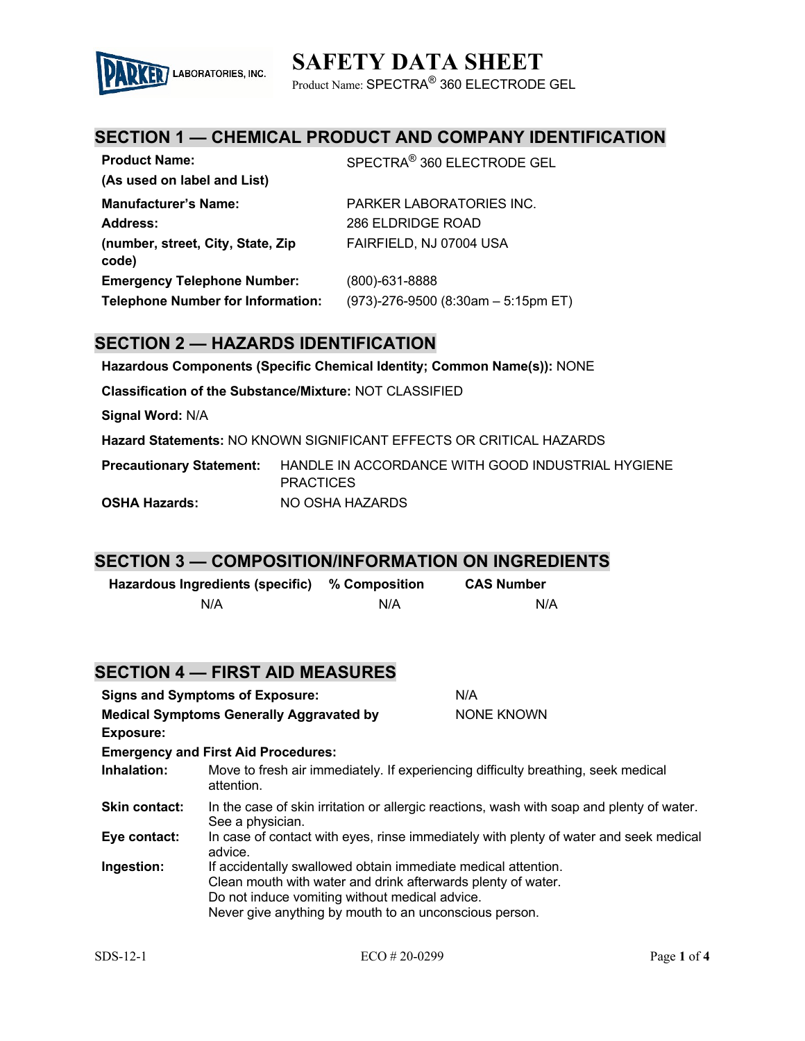# **SAFETY DATA SHEET**



Product Name: SPECTRA® 360 ELECTRODE GEL

## **SECTION 1 — CHEMICAL PRODUCT AND COMPANY IDENTIFICATION**

| <b>Product Name:</b>                       | SPECTRA <sup>®</sup> 360 ELECTRODE GEL |
|--------------------------------------------|----------------------------------------|
| (As used on label and List)                |                                        |
| <b>Manufacturer's Name:</b>                | <b>PARKER LABORATORIES INC.</b>        |
| Address:                                   | 286 ELDRIDGE ROAD                      |
| (number, street, City, State, Zip<br>code) | FAIRFIELD, NJ 07004 USA                |
| <b>Emergency Telephone Number:</b>         | (800)-631-8888                         |
| <b>Telephone Number for Information:</b>   | $(973)$ -276-9500 (8:30am - 5:15pm ET) |

### **SECTION 2 — HAZARDS IDENTIFICATION**

**Hazardous Components (Specific Chemical Identity; Common Name(s)):** NONE

**Classification of the Substance/Mixture:** NOT CLASSIFIED

**Signal Word:** N/A

**Hazard Statements:** NO KNOWN SIGNIFICANT EFFECTS OR CRITICAL HAZARDS

**Precautionary Statement:** HANDLE IN ACCORDANCE WITH GOOD INDUSTRIAL HYGIENE **PRACTICES OSHA Hazards:** NO OSHA HAZARDS

#### **SECTION 3 — COMPOSITION/INFORMATION ON INGREDIENTS**

| Hazardous Ingredients (specific) % Composition |     | <b>CAS Number</b> |
|------------------------------------------------|-----|-------------------|
| N/A                                            | N/A | N/A               |

|                                                 | <b>SECTION 4 — FIRST AID MEASURES</b>                                                                                                                                                                                                     |                                                                                           |
|-------------------------------------------------|-------------------------------------------------------------------------------------------------------------------------------------------------------------------------------------------------------------------------------------------|-------------------------------------------------------------------------------------------|
|                                                 | <b>Signs and Symptoms of Exposure:</b>                                                                                                                                                                                                    | N/A                                                                                       |
| <b>Medical Symptoms Generally Aggravated by</b> |                                                                                                                                                                                                                                           | NONE KNOWN                                                                                |
| <b>Exposure:</b>                                |                                                                                                                                                                                                                                           |                                                                                           |
|                                                 | <b>Emergency and First Aid Procedures:</b>                                                                                                                                                                                                |                                                                                           |
| Inhalation:                                     | Move to fresh air immediately. If experiencing difficulty breathing, seek medical<br>attention.                                                                                                                                           |                                                                                           |
| <b>Skin contact:</b>                            | See a physician.                                                                                                                                                                                                                          | In the case of skin irritation or allergic reactions, wash with soap and plenty of water. |
| Eye contact:                                    | advice.                                                                                                                                                                                                                                   | In case of contact with eyes, rinse immediately with plenty of water and seek medical     |
| Ingestion:                                      | If accidentally swallowed obtain immediate medical attention.<br>Clean mouth with water and drink afterwards plenty of water.<br>Do not induce vomiting without medical advice.<br>Never give anything by mouth to an unconscious person. |                                                                                           |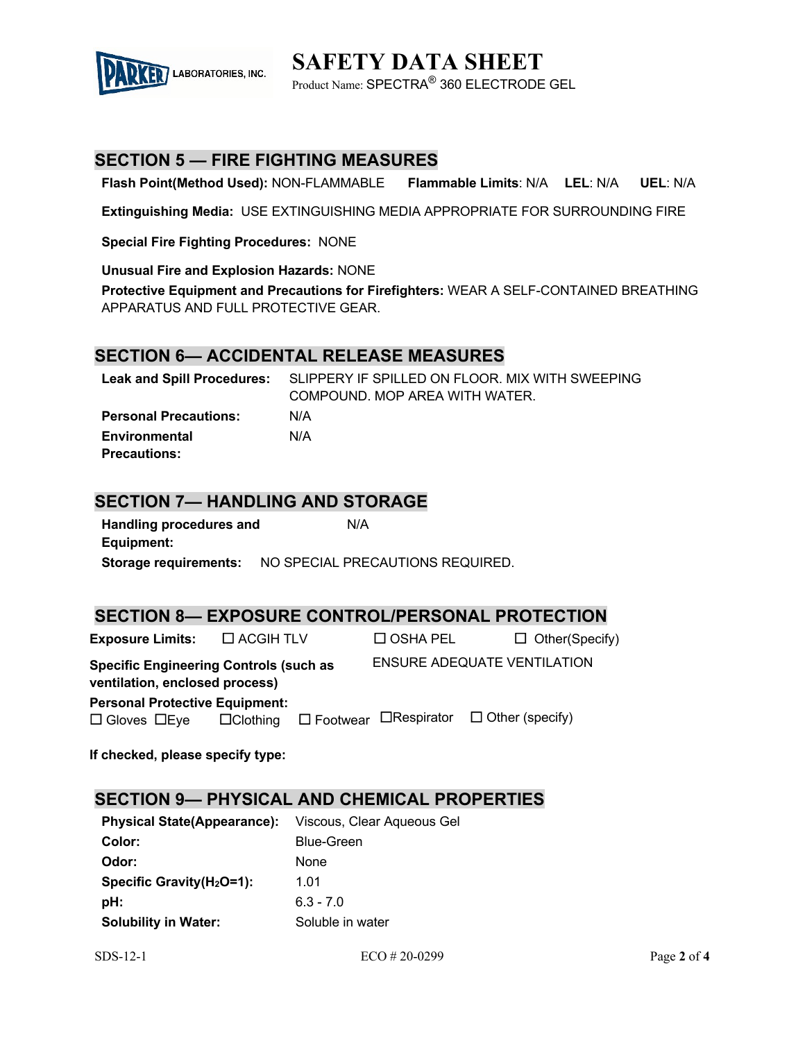

**SAFETY DATA SHEET** Product Name: SPECTRA® 360 ELECTRODE GEL

### **SECTION 5 — FIRE FIGHTING MEASURES**

**Flash Point(Method Used):** NON-FLAMMABLE **Flammable Limits**: N/A **LEL**: N/A **UEL**: N/A

**Extinguishing Media:** USE EXTINGUISHING MEDIA APPROPRIATE FOR SURROUNDING FIRE

**Special Fire Fighting Procedures:** NONE

**Unusual Fire and Explosion Hazards:** NONE

**Protective Equipment and Precautions for Firefighters:** WEAR A SELF-CONTAINED BREATHING APPARATUS AND FULL PROTECTIVE GEAR.

#### **SECTION 6— ACCIDENTAL RELEASE MEASURES**

|                              | Leak and Spill Procedures: SLIPPERY IF SPILLED ON FLOOR. MIX WITH SWEEPING |
|------------------------------|----------------------------------------------------------------------------|
|                              | COMPOUND. MOP AREA WITH WATER.                                             |
| <b>Personal Precautions:</b> | N/A                                                                        |
| Environmental                | N/A                                                                        |
| <b>Precautions:</b>          |                                                                            |

### **SECTION 7— HANDLING AND STORAGE**

| <b>Handling procedures and</b> | N/A                             |
|--------------------------------|---------------------------------|
| Equipment:                     |                                 |
| <b>Storage requirements:</b>   | NO SPECIAL PRECAUTIONS REQUIRED |

#### **SECTION 8— EXPOSURE CONTROL/PERSONAL PROTECTION**

|                                       |                                                                   |                 | $\Box$ Other(Specify)                                                                                          |
|---------------------------------------|-------------------------------------------------------------------|-----------------|----------------------------------------------------------------------------------------------------------------|
| ventilation, enclosed process)        |                                                                   |                 |                                                                                                                |
| <b>Personal Protective Equipment:</b> |                                                                   |                 |                                                                                                                |
|                                       |                                                                   |                 |                                                                                                                |
|                                       | $\Box$ ACGIH TLV<br><b>Specific Engineering Controls (such as</b> | $\Box$ OSHA PEL | <b>ENSURE ADEQUATE VENTILATION</b><br>$\Box$ Clothing $\Box$ Footwear $\Box$ Respirator $\Box$ Other (specify) |

**If checked, please specify type:**

### **SECTION 9— PHYSICAL AND CHEMICAL PROPERTIES**

| <b>Physical State(Appearance):</b> | Viscous, Clear Aqueous Gel |
|------------------------------------|----------------------------|
| Color:                             | <b>Blue-Green</b>          |
| Odor:                              | None                       |
| Specific Gravity $(H_2O=1)$ :      | 1 01                       |
| pH:                                | $6.3 - 7.0$                |
| <b>Solubility in Water:</b>        | Soluble in water           |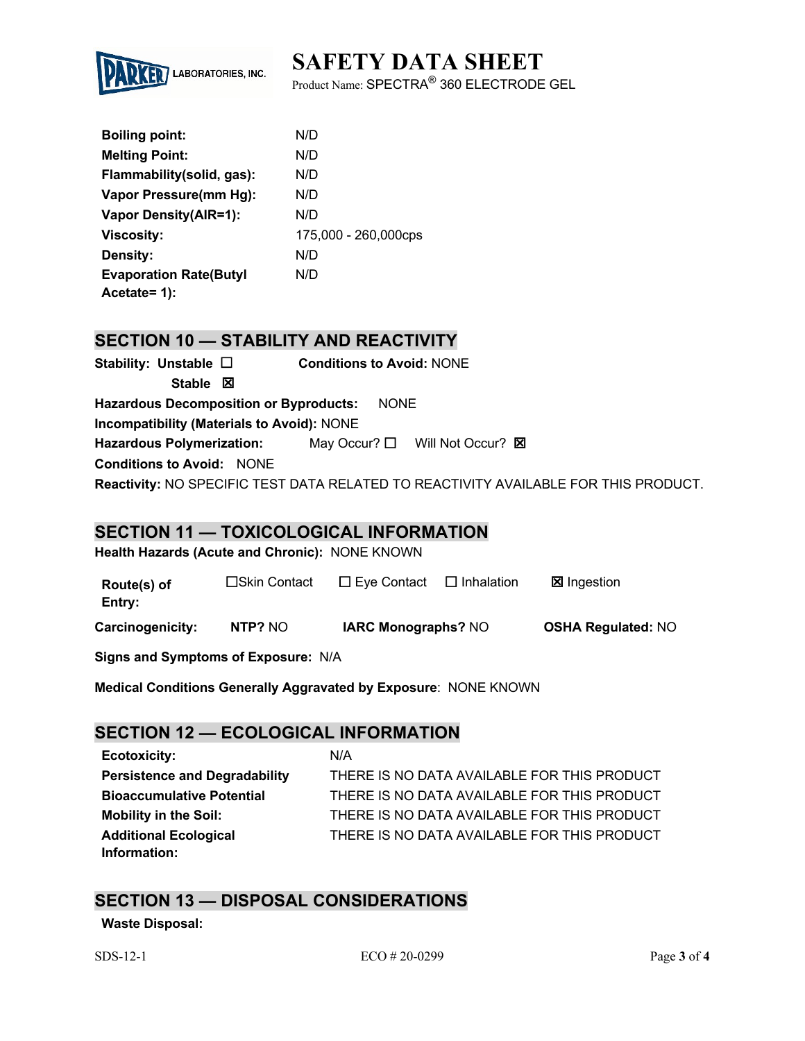# **SAFETY DATA SHEET**



Product Name: SPECTRA® 360 ELECTRODE GEL

| <b>Boiling point:</b>          | N/D                  |
|--------------------------------|----------------------|
| <b>Melting Point:</b>          | N/D                  |
| Flammability(solid, gas):      | N/D                  |
| Vapor Pressure(mm Hg):         | N/D                  |
| <b>Vapor Density(AIR=1):</b>   | N/D                  |
| <b>Viscosity:</b>              | 175,000 - 260,000cps |
| Density:                       | N/D                  |
| <b>Evaporation Rate (Butyl</b> | N/D                  |
| Acetate= $1$ :                 |                      |

## **SECTION 10 — STABILITY AND REACTIVITY**

| Stability: Unstable $\Box$                 | <b>Conditions to Avoid: NONE</b>                                                    |
|--------------------------------------------|-------------------------------------------------------------------------------------|
| Stable $\boxtimes$                         |                                                                                     |
| Hazardous Decomposition or Byproducts:     | <b>NONE</b>                                                                         |
| Incompatibility (Materials to Avoid): NONE |                                                                                     |
| <b>Hazardous Polymerization:</b>           | May Occur? $\square$ Will Not Occur? $\square$                                      |
| <b>Conditions to Avoid: NONE</b>           |                                                                                     |
|                                            | Reactivity: NO SPECIFIC TEST DATA RELATED TO REACTIVITY AVAILABLE FOR THIS PRODUCT. |

#### **SECTION 11 — TOXICOLOGICAL INFORMATION**

**Health Hazards (Acute and Chronic):** NONE KNOWN

| Route(s) of<br>Entry: | □Skin Contact | $\square$ Eye Contact      | $\Box$ Inhalation | <b>⊠</b> Ingestion        |
|-----------------------|---------------|----------------------------|-------------------|---------------------------|
| Carcinogenicity:      | NTP? NO       | <b>IARC Monographs? NO</b> |                   | <b>OSHA Regulated: NO</b> |

**Signs and Symptoms of Exposure:** N/A

**Medical Conditions Generally Aggravated by Exposure**: NONE KNOWN

## **SECTION 12 — ECOLOGICAL INFORMATION**

**Ecotoxicity:** N/A **Persistence and Degradability** THERE IS NO DATA AVAILABLE FOR THIS PRODUCT **Bioaccumulative Potential** THERE IS NO DATA AVAILABLE FOR THIS PRODUCT **Mobility in the Soil:** THERE IS NO DATA AVAILABLE FOR THIS PRODUCT **Additional Ecological Information:** THERE IS NO DATA AVAILABLE FOR THIS PRODUCT

## **SECTION 13 — DISPOSAL CONSIDERATIONS**

#### **Waste Disposal:**